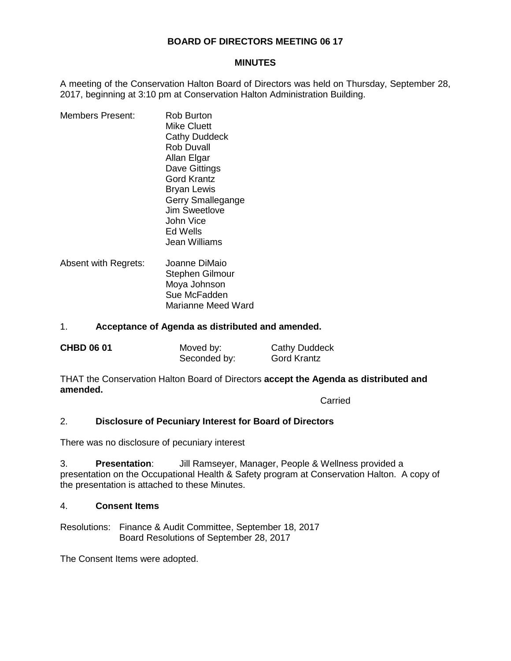## **BOARD OF DIRECTORS MEETING 06 17**

#### **MINUTES**

A meeting of the Conservation Halton Board of Directors was held on Thursday, September 28, 2017, beginning at 3:10 pm at Conservation Halton Administration Building.

- Members Present: Rob Burton Mike Cluett Cathy Duddeck Rob Duvall Allan Elgar Dave Gittings Gord Krantz Bryan Lewis Gerry Smallegange Jim Sweetlove John Vice Ed Wells Jean Williams
- Absent with Regrets: Joanne DiMaio Stephen Gilmour Moya Johnson Sue McFadden Marianne Meed Ward

#### 1. **Acceptance of Agenda as distributed and amended.**

| <b>CHBD 06 01</b> | Moved by:    | <b>Cathy Duddeck</b> |
|-------------------|--------------|----------------------|
|                   | Seconded by: | Gord Krantz          |

THAT the Conservation Halton Board of Directors **accept the Agenda as distributed and amended.**

Carried

#### 2. **Disclosure of Pecuniary Interest for Board of Directors**

There was no disclosure of pecuniary interest

3. **Presentation**: Jill Ramseyer, Manager, People & Wellness provided a presentation on the Occupational Health & Safety program at Conservation Halton. A copy of the presentation is attached to these Minutes.

#### 4. **Consent Items**

Resolutions: Finance & Audit Committee, September 18, 2017 Board Resolutions of September 28, 2017

The Consent Items were adopted.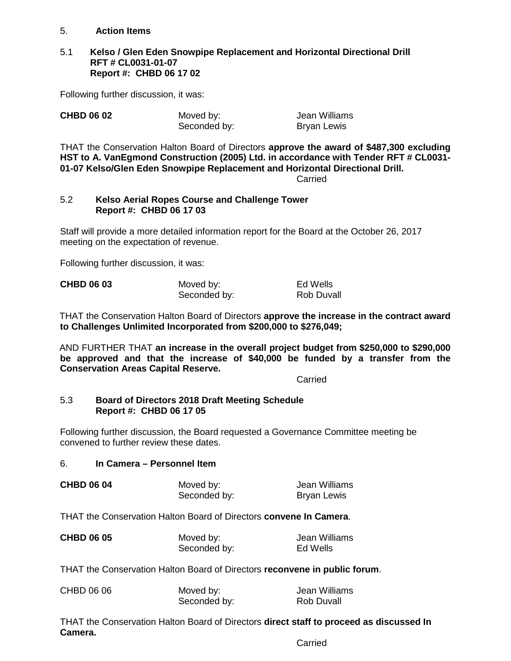## 5. **Action Items**

#### 5.1 **Kelso / Glen Eden Snowpipe Replacement and Horizontal Directional Drill RFT # CL0031-01-07 Report #: CHBD 06 17 02**

Following further discussion, it was:

| <b>CHBD 06 02</b> | Moved by:    | Jean Williams      |
|-------------------|--------------|--------------------|
|                   | Seconded by: | <b>Bryan Lewis</b> |

THAT the Conservation Halton Board of Directors **approve the award of \$487,300 excluding HST to A. VanEgmond Construction (2005) Ltd. in accordance with Tender RFT # CL0031- 01-07 Kelso/Glen Eden Snowpipe Replacement and Horizontal Directional Drill.**

**Carried** 

## 5.2 **Kelso Aerial Ropes Course and Challenge Tower Report #: CHBD 06 17 03**

Staff will provide a more detailed information report for the Board at the October 26, 2017 meeting on the expectation of revenue.

Following further discussion, it was:

| <b>CHBD 06 03</b> | Moved by:    | Ed Wells   |
|-------------------|--------------|------------|
|                   | Seconded by: | Rob Duvall |

THAT the Conservation Halton Board of Directors **approve the increase in the contract award to Challenges Unlimited Incorporated from \$200,000 to \$276,049;**

AND FURTHER THAT **an increase in the overall project budget from \$250,000 to \$290,000 be approved and that the increase of \$40,000 be funded by a transfer from the Conservation Areas Capital Reserve.**

Carried

#### 5.3 **Board of Directors 2018 Draft Meeting Schedule Report #: CHBD 06 17 05**

Following further discussion, the Board requested a Governance Committee meeting be convened to further review these dates.

# 6. **In Camera – Personnel Item**

| <b>CHBD 06 04</b> | Moved by:    | Jean Williams      |
|-------------------|--------------|--------------------|
|                   | Seconded by: | <b>Bryan Lewis</b> |

THAT the Conservation Halton Board of Directors **convene In Camera**.

| <b>CHBD 06 05</b> | Moved by:    | Jean Williams |
|-------------------|--------------|---------------|
|                   | Seconded by: | Ed Wells      |

THAT the Conservation Halton Board of Directors **reconvene in public forum**.

| CHBD 06 06 | Moved by:    | Jean Williams |
|------------|--------------|---------------|
|            | Seconded by: | Rob Duvall    |

THAT the Conservation Halton Board of Directors **direct staff to proceed as discussed In Camera.**